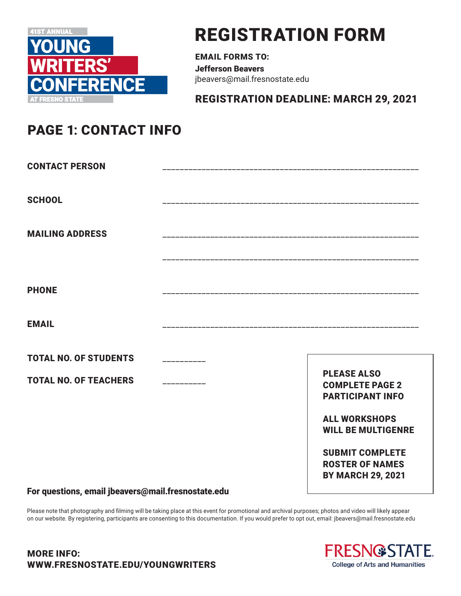

## REGISTRATION FORM

EMAIL FORMS TO: Jefferson Beavers jbeavers@mail.fresnostate.edu

REGISTRATION DEADLINE: MARCH 29, 2021

## PAGE 1**:** CONTACT INFO

| <b>CONTACT PERSON</b>        |                                                                              |
|------------------------------|------------------------------------------------------------------------------|
| <b>SCHOOL</b>                |                                                                              |
| <b>MAILING ADDRESS</b>       |                                                                              |
|                              |                                                                              |
| <b>PHONE</b>                 |                                                                              |
| <b>EMAIL</b>                 |                                                                              |
| <b>TOTAL NO. OF STUDENTS</b> |                                                                              |
| <b>TOTAL NO. OF TEACHERS</b> | <b>PLEASE ALSO</b><br><b>COMPLETE PAGE 2</b><br><b>PARTICIPANT INFO</b>      |
|                              | <b>ALL WORKSHOPS</b><br><b>WILL BE MULTIGENRE</b>                            |
|                              | <b>SUBMIT COMPLETE</b><br><b>ROSTER OF NAMES</b><br><b>BY MARCH 29, 2021</b> |

For questions, email jbeavers@mail.fresnostate.edu

Please note that photography and filming will be taking place at this event for promotional and archival purposes; photos and video will likely appear on our website. By registering, participants are consenting to this documentation. If you would prefer to opt out, email: jbeavers@mail.fresnostate.edu

## MORE INFO: WWW.FRESNOSTATE.EDU/YOUNGWRITERS